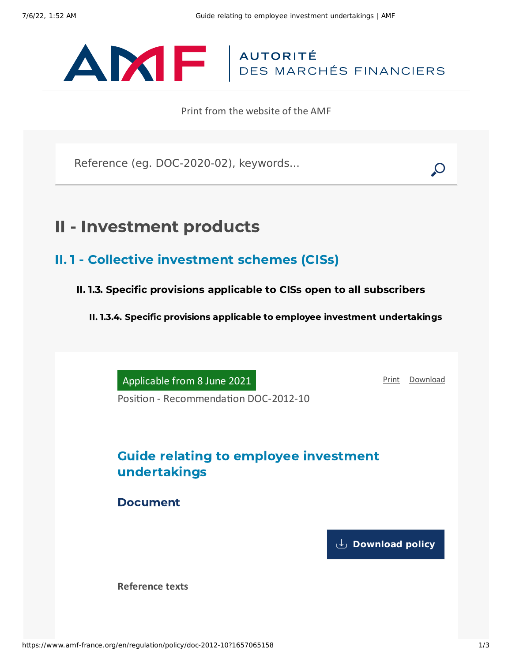## ANTE | AUTORITÉ

Print from the website of the AMF

Reference (eg. DOC-2020-02), keywords...

## II - Investment products

- II. 1 Collective investment schemes (CISs)
	- II. 1.3. Specific provisions applicable to CISs open to all subscribers

II. 1.3.4. Specific provisions applicable to employee investment undertakings

Applicable from 8 June 2021

[Print](javascript:window.print()) [Download](https://www.amf-france.org/sites/default/files/pdf/62962/en/Guide_relating_to_employee_investment_undertakings.pdf?1657065159)

Position - Recommendation DOC-2012-10

## Guide relating to employee investment undertakings

Document

**[Download](https://www.amf-france.org/sites/default/files/private/2021-06/doc-2012-10_va4_guide-fes_0.pdf) policy**

**Reference texts**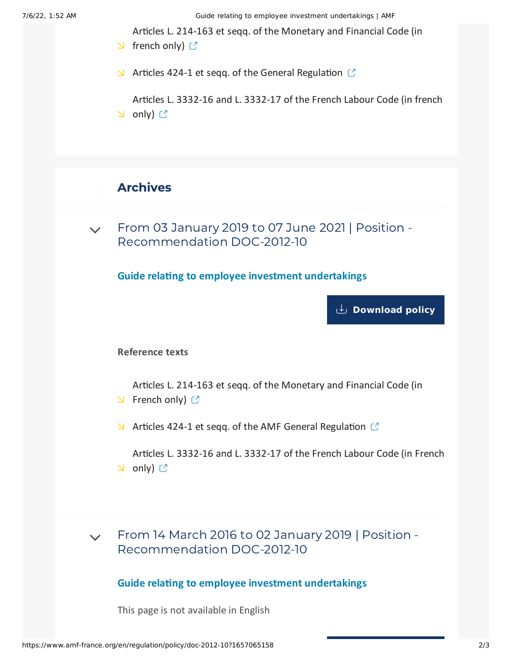7/6/22, 1:52 AM Guide relating to employee investment undertakings | AMF

Articles L. 214-163 et seqq. of the [Monetary](https://www.legifrance.gouv.fr/codes/id/LEGISCTA000027780335/) and Financial Code (in

- $\triangle$  french only)  $\heartsuit$
- $\blacktriangleright$  Articles 424-1 et seqq. of the General [Regulation](https://www.amf-france.org/en/eli/fr/aai/amf/rg/book/4/20210101/notes)  $\mathbb{C}$

Articles L. [3332-16](https://www.legifrance.gouv.fr/codes/id/LEGISCTA000006189696/) and L. 3332-17 of the French Labour Code (in french  $\cup$  only)  $\mathbb{C}$ 

## Archives

From 03 January 2019 to 07 June 2021 | Position - [Recommendation](#page-1-0) DOC-2012-10  $\vee$ 

<span id="page-1-0"></span>**Guide relating to employee investment undertakings**

**[Download](https://www.amf-france.org/sites/default/files/private/2020-11/20190103-guide-relating-to-employee-investment-undertakings.pdf) policy**

**Reference texts**

Articles L. 214-163 et seqq. of the [Monetary](https://www.legifrance.gouv.fr/affichCode.do;jsessionid=64CBB8EAD02EF967AF5549CB8366EF78.tpdila17v_1?idSectionTA=LEGISCTA000027780335&cidTexte=LEGITEXT000006072026&dateTexte=20160310) and Financial Code (in  $\triangle$  French only)  $\heartsuit$ 

 $\blacktriangleright$  Articles 424-1 et seqq. of the AMF General [Regulation](https://www.amf-france.org/eli/fr/aai/amf/rg/20180423/notes/en.pdf)  $\mathbb{C}$ 

Articles L. 3332-16 and L. [3332-17](https://www.legifrance.gouv.fr/affichCode.do;jsessionid=07DF5B9EC8E870276E680EFC46DC80A3.tpdjo07v_3?idSectionTA=LEGISCTA000006189696&cidTexte=LEGITEXT000006072050&dateTexte=20120403) of the French Labour Code (in French **∆** only) ぴ

From 14 March 2016 to 02 January 2019 | Position - [Recommendation](#page-1-1) DOC-2012-10  $\vee$ 

**Guide relating to employee investment undertakings**

<span id="page-1-1"></span>This page is not available in English